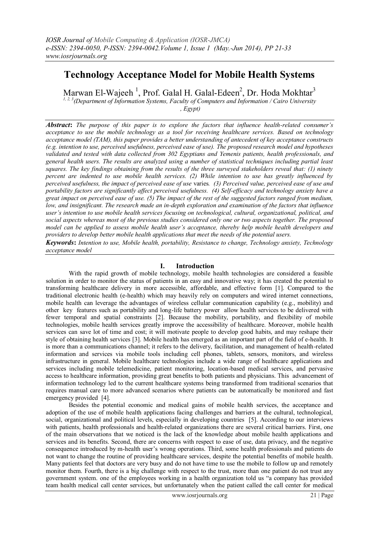# **Technology Acceptance Model for Mobile Health Systems**

Marwan El-Wajeeh<sup>1</sup>, Prof. Galal H. Galal-Edeen<sup>2</sup>, Dr. Hoda Mokhtar<sup>3</sup>

*1, 2, 3 (Department of Information Systems, Faculty of Computers and Information / Cairo University , Egypt)* 

*Abstract***:** *The purpose of this paper is to explore the factors that influence health-related consumer's acceptance to use the mobile technology as a tool for receiving healthcare services. Based on technology acceptance model (TAM), this paper provides a better understanding of antecedent of key acceptance constructs (e.g. intention to use, perceived usefulness, perceived ease of use). The proposed research model and hypotheses validated and tested with data collected from 302 Egyptians and Yemenis patients, health professionals, and general health users. The results are analyzed using a number of statistical techniques including partial least squares. The key findings obtaining from the results of the three surveyed stakeholders reveal that: (1) ninety percent are indented to use mobile health services. (2) While intention to use has greatly influenced by perceived usefulness, the impact of perceived ease of use* varies*. (3) Perceived value, perceived ease of use and portability factors are significantly affect perceived usefulness. (4) Self-efficacy and technology anxiety have a great impact on perceived ease of use. (5) The impact of the rest of the suggested factors ranged from medium, low, and insignificant. The research made an in-depth exploration and examination of the factors that influence user's intention to use mobile health services focusing on technological, cultural, organizational, political, and social aspects whereas most of the previous studies considered only one or two aspects together. The proposed model can be applied to assess mobile health user's acceptance, thereby help mobile health developers and providers to develop better mobile health applications that meet the needs of the potential users.*

*Keywords***:** *Intention to use, Mobile health, portability, Resistance to change, Technology anxiety, Technology acceptance model*

## **I. Introduction**

With the rapid growth of mobile technology, mobile health technologies are considered a feasible solution in order to monitor the status of patients in an easy and innovative way; it has created the potential to transforming healthcare delivery in more accessible, affordable, and effective form [\[1\]](#page-10-0). Compared to the traditional electronic health (e-health) which may heavily rely on computers and wired internet connections, mobile health can leverage the advantages of wireless cellular communication capability (e.g., mobility) and other key features such as portability and long-life battery power allow health services to be delivered with fewer temporal and spatial constraints [\[2\]](#page-10-1). Because the mobility, portability, and flexibility of mobile technologies, mobile health services greatly improve the accessibility of healthcare. Moreover, mobile health services can save lot of time and cost; it will motivate people to develop good habits, and may reshape their style of obtaining health services [\[3\]](#page-10-2). Mobile health has emerged as an important part of the field of e-health. It is more than a communications channel; it refers to the delivery, facilitation, and management of health-related information and services via mobile tools including cell phones, tablets, sensors, monitors, and wireless infrastructure in general. Mobile healthcare technologies include a wide range of healthcare applications and services including mobile telemedicine, patient monitoring, location-based medical services, and pervasive access to healthcare information, providing great benefits to both patients and physicians. This advancement of information technology led to the current healthcare systems being transformed from traditional scenarios that requires manual care to more advanced scenarios where patients can be automatically be monitored and fast emergency provided [\[4\]](#page-10-3).

Besides the potential economic and medical gains of mobile health services, the acceptance and adoption of the use of mobile health applications facing challenges and barriers at the cultural, technological, social, organizational and political levels, especially in developing countries [\[5\]](#page-10-4). According to our interviews with patients, health professionals and health-related organizations there are several critical barriers. First, one of the main observations that we noticed is the lack of the knowledge about mobile health applications and services and its benefits. Second, there are concerns with respect to ease of use, data privacy, and the negative consequence introduced by m-health user"s wrong operations. Third, some health professionals and patients do not want to change the routine of providing healthcare services, despite the potential benefits of mobile health. Many patients feel that doctors are very busy and do not have time to use the mobile to follow up and remotely monitor them. Fourth, there is a big challenge with respect to the trust, more than one patient do not trust any government system. one of the employees working in a health organization told us "a company has provided team health medical call center services, but unfortunately when the patient called the call center for medical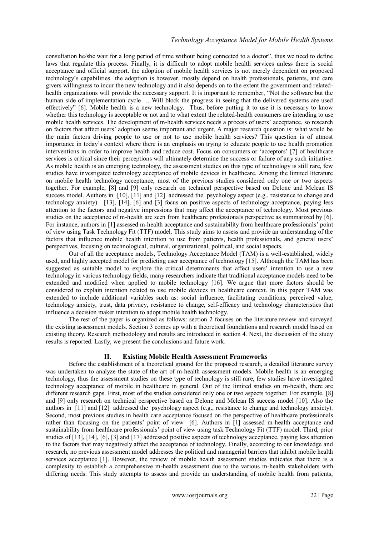consultation he/she wait for a long period of time without being connected to a doctor", thus we need to define laws that regulate this process. Finally, it is difficult to adopt mobile health services unless there is social acceptance and official support. the adoption of mobile health services is not merely dependent on proposed technology"s capabilities the adoption is however, mostly depend on health professionals, patients, and care givers willingness to incur the new technology and it also depends on to the extent the government and relatedhealth organizations will provide the necessary support. It is important to remember, "Not the software but the human side of implementation cycle … Will block the progress in seeing that the delivered systems are used effectively" [\[6\]](#page-10-5). Mobile health is a new technology. Thus, before putting it to use it is necessary to know whether this technology is acceptable or not and to what extent the related-health consumers are intending to use mobile health services. The development of m-health services needs a process of users" acceptance, so research on factors that affect users" adoption seems important and urgent. A major research question is: what would be the main factors driving people to use or not to use mobile health services? This question is of utmost importance in today"s context where there is an emphasis on trying to educate people to use health promotion interventions in order to improve health and reduce cost. Focus on consumers or "acceptors" [\[7\]](#page-10-6) of healthcare services is critical since their perceptions will ultimately determine the success or failure of any such initiative. As mobile health is an emerging technology, the assessment studies on this type of technology is still rare, few studies have investigated technology acceptance of mobile devices in healthcare. Among the limited literature on mobile health technology acceptance, most of the previous studies considered only one or two aspects together. For example, [\[8\]](#page-10-7) and [\[9\]](#page-10-8) only research on technical perspective based on Delone and Mclean IS success model. Authors in [\[10\]](#page-10-9), [\[11\]](#page-10-10) and [\[12\]](#page-10-11) addressed the psychology aspect (e.g., resistance to change and technology anxiety). [\[13\]](#page-10-12), [\[14\]](#page-10-13), [\[6\]](#page-10-5) and [\[3\]](#page-10-2) focus on positive aspects of technology acceptance, paying less attention to the factors and negative impressions that may affect the acceptance of technology. Most previous studies on the acceptance of m-health are seen from healthcare professionals perspective as summarized by [\[6\]](#page-10-5). For instance, authors in [\[1\]](#page-10-0) assessed m-health acceptance and sustainability from healthcare professionals' point of view using Task Technology Fit (TTF) model. This study aims to assess and provide an understanding of the factors that influence mobile health intention to use from patients, health professionals, and general users' perspectives, focusing on technological, cultural, organizational, political, and social aspects.

Out of all the acceptance models, Technology Acceptance Model (TAM) is a well-established, widely used, and highly accepted model for predicting user acceptance of technology [\[15\]](#page-10-14). Although the TAM has been suggested as suitable model to explore the critical determinants that affect users' intention to use a new technology in various technology fields, many researchers indicate that traditional acceptance models need to be extended and modified when applied to mobile technology [\[16\]](#page-10-15). We argue that more factors should be considered to explain intention related to use mobile devices in healthcare context. In this paper TAM was extended to include additional variables such as: social influence, facilitating conditions, perceived value, technology anxiety, trust, data privacy, resistance to change, self-efficacy and technology characteristics that influence a decision maker intention to adopt mobile health technology.

The rest of the paper is organized as follows: section 2 focuses on the literature review and surveyed the existing assessment models. Section 3 comes up with a theoretical foundations and research model based on existing theory. Research methodology and results are introduced in section 4. Next, the discussion of the study results is reported. Lastly, we present the conclusions and future work.

# **II. Existing Mobile Health Assessment Frameworks**

Before the establishment of a theoretical ground for the proposed research, a detailed literature survey was undertaken to analyze the state of the art of m-health assessment models. Mobile health is an emerging technology, thus the assessment studies on these type of technology is still rare, few studies have investigated technology acceptance of mobile in healthcare in general. Out of the limited studies on m-health, there are different research gaps. First, most of the studies considered only one or two aspects together. For example, [\[8\]](#page-10-7) and [\[9\]](#page-10-8) only research on technical perspective based on Delone and Mclean IS success model [\[10\]](#page-10-9). Also the authors in [\[11\]](#page-10-10) and [\[12\]](#page-10-11) addressed the psychology aspect (e.g., resistance to change and technology anxiety). Second, most previous studies in health care acceptance focused on the perspective of healthcare professionals rather than focusing on the patients' point of view [\[6\]](#page-10-5). Authors in [\[1\]](#page-10-0) assessed m-health acceptance and sustainability from healthcare professionals" point of view using task Technology Fit (TTF) model. Third, prior studies of [\[13\]](#page-10-12), [\[14\]](#page-10-13), [\[6\]](#page-10-5), [\[3\]](#page-10-2) and [\[17\]](#page-10-16) addressed positive aspects of technology acceptance, paying less attention to the factors that may negatively affect the acceptance of technology. Finally, according to our knowledge and research, no previous assessment model addresses the political and managerial barriers that inhibit mobile health services acceptance [\[1\]](#page-10-0). However, the review of mobile health assessment studies indicates that there is a complexity to establish a comprehensive m-health assessment due to the various m-health stakeholders with differing needs. This study attempts to assess and provide an understanding of mobile health from patients,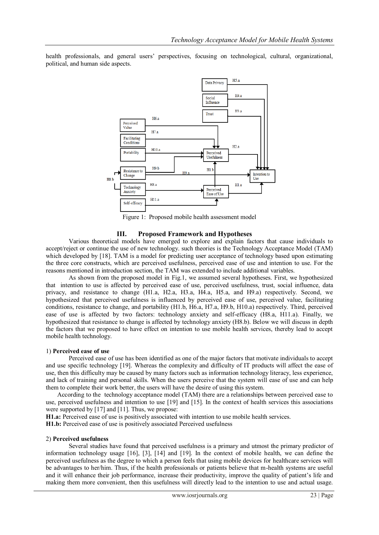health professionals, and general users" perspectives, focusing on technological, cultural, organizational, political, and human side aspects.



Figure 1: Proposed mobile health assessment model

#### **III. Proposed Framework and Hypotheses**

Various theoretical models have emerged to explore and explain factors that cause individuals to accept/reject or continue the use of new technology. such theories is the Technology Acceptance Model (TAM) which developed by [\[18\]](#page-10-17). TAM is a model for predicting user acceptance of technology based upon estimating the three core constructs, which are perceived usefulness, perceived ease of use and intention to use. For the reasons mentioned in introduction section, the TAM was extended to include additional variables.

As shown from the proposed model in Fig.1, we assumed several hypotheses. First, we hypothesized that intention to use is affected by perceived ease of use, perceived usefulness, trust, social influence, data privacy, and resistance to change (H1.a, H2.a, H3.a, H4.a, H5.a, and H9.a) respectively. Second, we hypothesized that perceived usefulness is influenced by perceived ease of use, perceived value, facilitating conditions, resistance to change, and portability (H1.b, H6.a, H7.a, H9.b, H10.a) respectively. Third, perceived ease of use is affected by two factors: technology anxiety and self-efficacy (H8.a, H11.a). Finally, we hypothesized that resistance to change is affected by technology anxiety (H8.b). Below we will discuss in depth the factors that we proposed to have effect on intention to use mobile health services, thereby lead to accept mobile health technology.

#### 1) **Perceived ease of use**

Perceived ease of use has been identified as one of the major factors that motivate individuals to accept and use specific technology [\[19\]](#page-10-18). Whereas the complexity and difficulty of IT products will affect the ease of use, then this difficulty may be caused by many factors such as information technology literacy, less experience, and lack of training and personal skills. When the users perceive that the system will ease of use and can help them to complete their work better, the users will have the desire of using this system.

According to the technology acceptance model (TAM) there are a relationships between perceived ease to use, perceived usefulness and intention to use [\[19\]](#page-10-18) and [\[15\]](#page-10-14). In the context of health services this associations were supported by [\[17\]](#page-10-16) and [\[11\]](#page-10-10). Thus, we propose:

**H1.a:** Perceived ease of use is positively associated with intention to use mobile health services.

**H1.b:** Perceived ease of use is positively associated Perceived usefulness

#### 2) **Perceived usefulness**

Several studies have found that perceived usefulness is a primary and utmost the primary predictor of information technology usage [\[16\]](#page-10-15), [\[3\]](#page-10-2), [\[14\]](#page-10-13) and [\[19\]](#page-10-18). In the context of mobile health, we can define the perceived usefulness as the degree to which a person feels that using mobile devices for healthcare services will be advantages to her/him. Thus, if the health professionals or patients believe that m-health systems are useful and it will enhance their job performance, increase their productivity, improve the quality of patient"s life and making them more convenient, then this usefulness will directly lead to the intention to use and actual usage.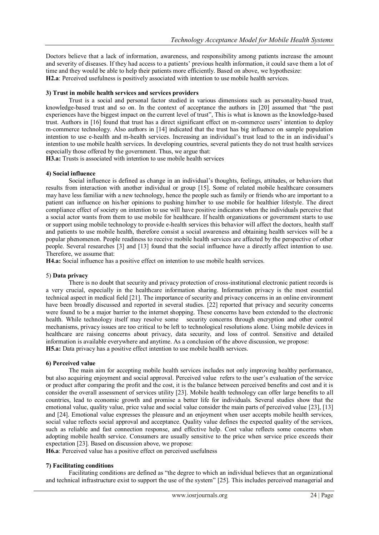Doctors believe that a lack of information, awareness, and responsibility among patients increase the amount and severity of diseases. If they had access to a patients" previous health information, it could save them a lot of time and they would be able to help their patients more efficiently. Based on above, we hypothesize: **H2.a**: Perceived usefulness is positively associated with intention to use mobile health services.

## **3) Trust in mobile health services and services providers**

Trust is a social and personal factor studied in various dimensions such as personality-based trust, knowledge-based trust and so on. In the context of acceptance the authors in [\[20\]](#page-10-19) assumed that "the past experiences have the biggest impact on the current level of trust", This is what is known as the knowledge-based trust. Authors in [\[16\]](#page-10-15) found that trust has a direct significant effect on m-commerce users" intention to deploy m-commerce technology. Also authors in [\[14\]](#page-10-13) indicated that the trust has big influence on sample population intention to use e-health and m-health services. Increasing an individual"s trust lead to the in an individual"s intention to use mobile health services. In developing countries, several patients they do not trust health services especially those offered by the government. Thus, we argue that:

**H3.a:** Trusts is associated with intention to use mobile health services

## **4) Social influence**

Social influence is defined as change in an individual"s thoughts, feelings, attitudes, or behaviors that results from interaction with another individual or group [\[15\]](#page-10-14). Some of related mobile healthcare consumers may have less familiar with a new technology, hence the people such as family or friends who are important to a patient can influence on his/her opinions to pushing him/her to use mobile for healthier lifestyle. The direct compliance effect of society on intention to use will have positive indicators when the individuals perceive that a social actor wants from them to use mobile for healthcare. If health organizations or government starts to use or support using mobile technology to provide e-health services this behavior will affect the doctors, health staff and patients to use mobile health, therefore consist a social awareness and obtaining health services will be a popular phenomenon. People readiness to receive mobile health services are affected by the perspective of other people. Several researches [\[3\]](#page-10-2) and [\[13\]](#page-10-12) found that the social influence have a directly affect intention to use. Therefore, we assume that:

**H4.a:** Social influence has a positive effect on intention to use mobile health services.

#### 5) **Data privacy**

There is no doubt that security and privacy protection of cross-institutional electronic patient records is a very crucial, especially in the healthcare information sharing. Information privacy is the most essential technical aspect in medical field [\[21\]](#page-10-20). The importance of security and privacy concerns in an online environment have been broadly discussed and reported in several studies. [\[22\]](#page-10-21) reported that privacy and security concerns were found to be a major barrier to the internet shopping. These concerns have been extended to the electronic health. While technology itself may resolve some security concerns through encryption and other control mechanisms, privacy issues are too critical to be left to technological resolutions alone. Using mobile devices in healthcare are raising concerns about privacy, data security, and loss of control. Sensitive and detailed information is available everywhere and anytime. As a conclusion of the above discussion, we propose: **H5.a:** Data privacy has a positive effect intention to use mobile health services.

#### **6) Perceived value**

The main aim for accepting mobile health services includes not only improving healthy performance, but also acquiring enjoyment and social approval. Perceived value refers to the user"s evaluation of the service or product after comparing the profit and the cost, it is the balance between perceived benefits and cost and it is consider the overall assessment of services utility [\[23\]](#page-10-22). Mobile health technology can offer large benefits to all countries, lead to economic growth and promise a better life for individuals. Several studies show that the emotional value, quality value, price value and social value consider the main parts of perceived value [\[23\]](#page-10-22), [\[13\]](#page-10-12) and [\[24\]](#page-11-0). Emotional value expresses the pleasure and an enjoyment when user accepts mobile health services, social value reflects social approval and acceptance. Quality value defines the expected quality of the services, such as reliable and fast connection response, and effective help. Cost value reflects some concerns when adopting mobile health service. Consumers are usually sensitive to the price when service price exceeds their expectation [\[23\]](#page-10-22). Based on discussion above, we propose:

**H6.a**: Perceived value has a positive effect on perceived usefulness

#### **7) Facilitating conditions**

Facilitating conditions are defined as "the degree to which an individual believes that an organizational and technical infrastructure exist to support the use of the system" [\[25\]](#page-11-1). This includes perceived managerial and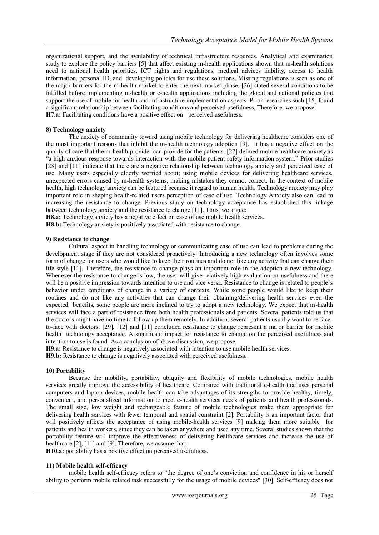organizational support, and the availability of technical infrastructure resources. Analytical and examination study to explore the policy barriers [\[5\]](#page-10-4) that affect existing m-health applications shown that m-health solutions need to national health priorities, ICT rights and regulations, medical advices liability, access to health information, personal ID, and developing policies for use these solutions. Missing regulations is seen as one of the major barriers for the m-health market to enter the next market phase. [\[26\]](#page-11-2) stated several conditions to be fulfilled before implementing m-health or e-health applications including the global and national policies that support the use of mobile for health and infrastructure implementation aspects. Prior researches such [\[15\]](#page-10-14) found a significant relationship between facilitating conditions and perceived usefulness, Therefore, we propose: **H7.a:** Facilitating conditions have a positive effect on perceived usefulness.

## **8) Technology anxiety**

The anxiety of community toward using mobile technology for delivering healthcare considers one of the most important reasons that inhibit the m-health technology adoption [\[9\]](#page-10-8). It has a negative effect on the quality of care that the m-health provider can provide for the patients. [\[27\]](#page-11-3) defined mobile healthcare anxiety as "a high anxious response towards interaction with the mobile patient safety information system." Prior studies [\[28\]](#page-11-4) and [\[11\]](#page-10-10) indicate that there are a negative relationship between technology anxiety and perceived ease of use. Many users especially elderly worried about; using mobile devices for delivering healthcare services, unexpected errors caused by m-health systems, making mistakes they cannot correct. In the context of mobile health, high technology anxiety can be featured because it regard to human health. Technology anxiety may play important role in shaping health-related users perception of ease of use. Technology Anxiety also can lead to increasing the resistance to change. Previous study on technology acceptance has established this linkage between technology anxiety and the resistance to change [\[11\]](#page-10-10). Thus, we argue:

**H8.a:** Technology anxiety has a negative effect on ease of use mobile health services.

**H8.b:** Technology anxiety is positively associated with resistance to change.

## **9) Resistance to change**

Cultural aspect in handling technology or communicating ease of use can lead to problems during the development stage if they are not considered proactively. Introducing a new technology often involves some form of change for users who would like to keep their routines and do not like any activity that can change their life style [\[11\]](#page-10-10). Therefore, the resistance to change plays an important role in the adoption a new technology. Whenever the resistance to change is low, the user will give relatively high evaluation on usefulness and there will be a positive impression towards intention to use and vice versa. Resistance to change is related to people's behavior under conditions of change in a variety of contexts. While some people would like to keep their routines and do not like any activities that can change their obtaining/delivering health services even the expected benefits, some people are more inclined to try to adopt a new technology. We expect that m-health services will face a part of resistance from both health professionals and patients. Several patients told us that the doctors might have no time to follow up them remotely. In addition, several patients usually want to be faceto-face with doctors. [\[29\]](#page-11-5), [\[12\]](#page-10-11) and [\[11\]](#page-10-10) concluded resistance to change represent a major barrier for mobile health technology acceptance. A significant impact for resistance to change on the perceived usefulness and intention to use is found. As a conclusion of above discussion, we propose:

**H9.a:** Resistance to change is negatively associated with intention to use mobile health services.

**H9.b:** Resistance to change is negatively associated with perceived usefulness.

# **10) Portability**

Because the mobility, portability, ubiquity and flexibility of mobile technologies, mobile health services greatly improve the accessibility of healthcare. Compared with traditional e-health that uses personal computers and laptop devices, mobile health can take advantages of its strengths to provide healthy, timely, convenient, and personalized information to meet e-health services needs of patients and health professionals. The small size, low weight and rechargeable feature of mobile technologies make them appropriate for delivering health services with fewer temporal and spatial constraint [\[2\]](#page-10-1). Portability is an important factor that will positively affects the acceptance of using mobile-health services [\[9\]](#page-10-8) making them more suitable for patients and health workers, since they can be taken anywhere and used any time. Several studies shown that the portability feature will improve the effectiveness of delivering healthcare services and increase the use of healthcare [\[2\]](#page-10-1), [\[11\]](#page-10-10) and [\[9\]](#page-10-8). Therefore, we assume that:

**H10.a:** portability has a positive effect on perceived usefulness.

## **11) Mobile health self-efficacy**

mobile health self-efficacy refers to "the degree of one"s conviction and confidence in his or herself ability to perform mobile related task successfully for the usage of mobile devices" [\[30\]](#page-11-6). Self-efficacy does not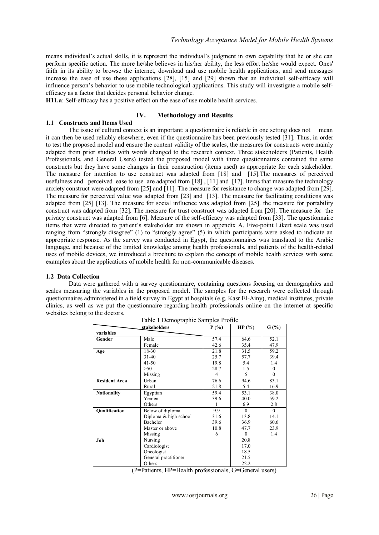means individual"s actual skills, it is represent the individual"s judgment in own capability that he or she can perform specific action. The more he/she believes in his/her ability, the less effort he/she would expect. Ones' faith in its ability to browse the internet, download and use mobile health applications, and send messages increase the ease of use these applications [\[28\]](#page-11-4), [\[15\]](#page-10-14) and [\[29\]](#page-11-5) shown that an individual self-efficacy will influence person"s behavior to use mobile technological applications. This study will investigate a mobile selfefficacy as a factor that decides personal behavior change.

**H11.a**: Self-efficacy has a positive effect on the ease of use mobile health services.

## **IV. Methodology and Results**

## **1.1 Constructs and Items Used**

The issue of cultural context is an important; a questionnaire is reliable in one setting does not mean it can then be used reliably elsewhere, even if the questionnaire has been previously tested [\[31\]](#page-11-7). Thus, in order to test the proposed model and ensure the content validity of the scales, the measures for constructs were mainly adapted from prior studies with words changed to the research context. Three stakeholders (Patients, Health Professionals, and General Users) tested the proposed model with three questionnaires contained the same constructs but they have some changes in their construction (items used) as appropriate for each stakeholder. The measure for intention to use construct was adapted from [\[18\]](#page-10-17) and [\[15\]](#page-10-14). The measures of perceived usefulness and perceived ease to use are adapted from [\[18\]](#page-10-17), [\[11\]](#page-10-10) and [\[17\]](#page-10-16). Items that measure the technology anxiety construct were adapted from [\[25\]](#page-11-1) and [\[11\]](#page-10-10). The measure for resistance to change was adapted from [\[29\]](#page-11-5). The measure for perceived value was adapted from [\[23\]](#page-10-22) and [\[13\]](#page-10-12). The measure for facilitating conditions was adapted from [\[25\]](#page-11-1) [\[13\]](#page-10-12). The measure for social influence was adapted from [\[25\]](#page-11-1). the measure for portability construct was adapted from [\[32\]](#page-11-8). The measure for trust construct was adapted from [\[20\]](#page-10-19). The measure for the privacy construct was adapted from [\[6\]](#page-10-5). Measure of the self-efficacy was adapted from [\[33\]](#page-11-9). The questionnaire items that were directed to patient"s stakeholder are shown in appendix A. Five-point Likert scale was used ranging from "strongly disagree" (1) to "strongly agree" (5) in which participants were asked to indicate an appropriate response. As the survey was conducted in Egypt, the questionnaires was translated to the Arabic language, and because of the limited knowledge among health professionals, and patients of the health-related uses of mobile devices, we introduced a brochure to explain the concept of mobile health services with some examples about the applications of mobile health for non-communicable diseases.

#### **1.2 Data Collection**

Data were gathered with a survey questionnaire, containing questions focusing on demographics and scales measuring the variables in the proposed model**.** The samples for the research were collected through questionnaires administered in a field survey in Egypt at hospitals (e.g. Kasr El-Ainy), medical institutes, private clinics, as well as we put the questionnaire regarding health professionals online on the internet at specific websites belong to the doctors.

|                      | stakeholders          | P(%) | HP(%)            | $G(\% )$     |  |
|----------------------|-----------------------|------|------------------|--------------|--|
| variables            |                       |      |                  |              |  |
| Gender               | Male                  | 57.4 | 64.6             | 52.1         |  |
|                      | Female                | 42.6 | 35.4             | 47.9         |  |
| Age                  | 18-30                 | 21.8 | 31.5             | 59.2         |  |
|                      | $31 - 40$             | 25.7 | 57.7             | 39.4         |  |
|                      | $41 - 50$             | 19.8 | 5.4              | 1.4          |  |
|                      | >50                   | 28.7 | 1.5              | $\mathbf{0}$ |  |
|                      | Missing               | 4    | 5                | $\theta$     |  |
| <b>Resident Area</b> | Urban                 | 76.6 | 94.6             | 83.1         |  |
|                      | Rural                 | 21.8 | 5.4              | 16.9         |  |
| <b>Nationality</b>   | Egyptian              | 59.4 | 53.1             | 38.0         |  |
|                      | Yemen                 | 39.6 | 40.0             | 59.2         |  |
|                      | Others                | 1    | 6.9              | 2.8          |  |
| <b>Oualification</b> | Below of diploma      | 9.9  | $\theta$         | $\theta$     |  |
|                      | Diploma & high school | 31.6 | 13.8             | 14.1         |  |
|                      | Bachelor              | 39.6 | 36.9             | 60.6         |  |
|                      | Master or above       | 10.8 | 47.7             | 23.9         |  |
|                      | Missing               | 6    | $\boldsymbol{0}$ | 1.4          |  |
| Job                  | Nursing               |      | 20.8             |              |  |
|                      | Cardiologist          |      | 17.0             |              |  |
|                      | Oncologist            |      | 18.5             |              |  |
|                      | General practitioner  |      | 21.5             |              |  |
|                      | Others                |      | 22.2             |              |  |

Table 1 Demographic Samples Profile

(P=Patients, HP=Health professionals, G=General users)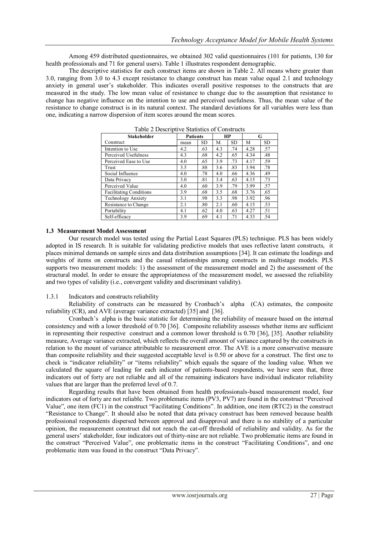Among 459 distributed questionnaires, we obtained 302 valid questionnaires (101 for patients, 130 for health professionals and 71 for general users). Table 1 illustrates respondent demographic.

The descriptive statistics for each construct items are shown in Table 2. All means where greater than 3.0, ranging from 3.0 to 4.3 except resistance to change construct has mean value equal 2.1 and technology anxiety in general user"s stakeholder. This indicates overall positive responses to the constructs that are measured in the study. The low mean value of resistance to change due to the assumption that resistance to change has negative influence on the intention to use and perceived usefulness. Thus, the mean value of the resistance to change construct is in its natural context. The standard deviations for all variables were less than one, indicating a narrow dispersion of item scores around the mean scores.

| I avie 2 Descriptive Statistics of Collistiacts<br><b>Stakeholder</b> | <b>Patients</b> |           | HР  |           | G    |           |
|-----------------------------------------------------------------------|-----------------|-----------|-----|-----------|------|-----------|
| Construct                                                             | mean            | <b>SD</b> | M.  | <b>SD</b> | M    | <b>SD</b> |
| Intention to Use                                                      | 4.2             | .63       | 4.3 | .74       | 4.28 | .57       |
| Perceived Usefulness                                                  | 4.3             | .68       | 4.2 | .65       | 4.34 | .48       |
| Perceived Ease to Use                                                 | 4.0             | .65       | 3.9 | .73       | 4.17 | .59       |
| Trust                                                                 | 3.5             | .88       | 3.6 | .83       | 3.94 | .78       |
| Social Influence                                                      | 4.0             | .78       | 4.0 | .66       | 4.36 | .49       |
| Data Privacy                                                          | 3.0             | .81       | 3.4 | .63       | 4.15 | .73       |
| Perceived Value                                                       | 4.0             | .60       | 3.9 | .79       | 3.99 | .57       |
| <b>Facilitating Conditions</b>                                        | 3.9             | .68       | 3.5 | .68       | 3.76 | .65       |
| <b>Technology Anxiety</b>                                             | 3.1             | .98       | 3.3 | .98       | 3.92 | .96       |
| Resistance to Change                                                  | 2.1             | .80       | 2.1 | .60       | 4.15 | .53       |
| Portability                                                           | 4.1             | .62       | 4.0 | .63       | 4.27 | .51       |
| Self-efficacy                                                         | 3.9             | .69       | 4.1 | .71       | 4.33 | .54       |

Table 2 Descriptive Statistics of Constructs

## **1.3 Measurement Model Assessment**

Our research model was tested using the Partial Least Squares (PLS) technique. PLS has been widely adopted in IS research. It is suitable for validating predictive models that uses reflective latent constructs, it places minimal demands on sample sizes and data distribution assumptions [\[34\]](#page-11-10). It can estimate the loadings and weights of items on constructs and the casual relationships among constructs in multistage models. PLS supports two measurement models: 1) the assessment of the measurement model and 2) the assessment of the structural model. In order to ensure the appropriateness of the measurement model, we assessed the reliability and two types of validity (i.e., convergent validity and discriminant validity).

## 1.3.1 Indicators and constructs reliability

Reliability of constructs can be measured by Cronbach"s alpha (CA) estimates, the composite reliability (CR), and AVE (average variance extracted) [\[35\]](#page-11-11) and [\[36\]](#page-11-12).

Cronbach"s alpha is the basic statistic for determining the reliability of measure based on the internal consistency and with a lower threshold of 0.70 [\[36\]](#page-11-12). Composite reliability assesses whether items are sufficient in representing their respective construct and a common lower threshold is 0.70 [\[36\]](#page-11-12), [\[35\]](#page-11-11). Another reliability measure, Average variance extracted, which reflects the overall amount of variance captured by the constructs in relation to the mount of variance attributable to measurement error. The AVE is a more conservative measure than composite reliability and their suggested acceptable level is 0.50 or above for a construct. The first one to check is "indicator reliability" or "items reliability" which equals the square of the loading value. When we calculated the square of leading for each indicator of patients-based respondents, we have seen that, three indicators out of forty are not reliable and all of the remaining indicators have individual indicator reliability values that are larger than the preferred level of 0.7.

Regarding results that have been obtained from health professionals-based measurement model, four indicators out of forty are not reliable. Two problematic items (PV3, PV7) are found in the construct "Perceived Value", one item (FC1) in the construct "Facilitating Conditions". In addition, one item (RTC2) in the construct "Resistance to Change". It should also be noted that data privacy construct has been removed because health professional respondents dispersed between approval and disapproval and there is no stability of a particular opinion, the measurement construct did not reach the cat-off threshold of reliability and validity. As for the general users" stakeholder, four indicators out of thirty-nine are not reliable. Two problematic items are found in the construct "Perceived Value", one problematic items in the construct "Facilitating Conditions", and one problematic item was found in the construct "Data Privacy".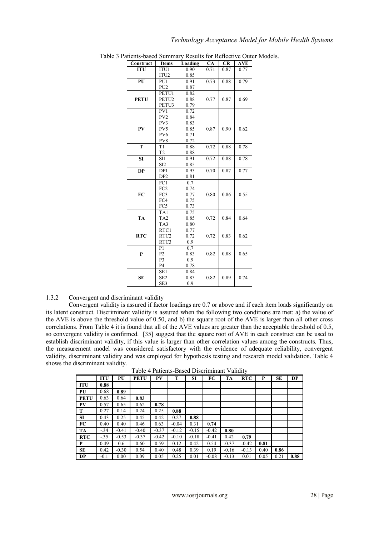| ments-based bunning y results for reflective Out |                   |         |      |      |                   |  |
|--------------------------------------------------|-------------------|---------|------|------|-------------------|--|
| Construct                                        | <b>Items</b>      | Loading | CA   | CR   | <b>AVE</b>        |  |
| <b>ITU</b>                                       | ITU1              | 0.90    | 0.71 | 0.87 | $\overline{0.77}$ |  |
|                                                  | ITU <sub>2</sub>  | 0.85    |      |      |                   |  |
| PU                                               | PU <sub>1</sub>   | 0.91    | 0.73 | 0.88 | 0.79              |  |
|                                                  | PU <sub>2</sub>   | 0.87    |      |      |                   |  |
|                                                  | PETU1             | 0.82    |      |      |                   |  |
| <b>PETU</b>                                      | PETU2             | 0.88    | 0.77 | 0.87 | 0.69              |  |
|                                                  | PETU3             | 0.79    |      |      |                   |  |
|                                                  | PV1               | 0.72    |      |      |                   |  |
|                                                  | PV <sub>2</sub>   | 0.84    |      |      |                   |  |
|                                                  | PV3               | 0.83    |      |      |                   |  |
| PV                                               | PV <sub>5</sub>   | 0.85    | 0.87 | 0.90 | 0.62              |  |
|                                                  | PV <sub>6</sub>   | 0.71    |      |      |                   |  |
|                                                  | PV8               | 0.72    |      |      |                   |  |
| T                                                | T1                | 0.88    | 0.72 | 0.88 | 0.78              |  |
|                                                  | T <sub>2</sub>    | 0.88    |      |      |                   |  |
| <b>SI</b>                                        | SI1               | 0.91    | 0.72 | 0.88 | 0.78              |  |
|                                                  | SI <sub>2</sub>   | 0.85    |      |      |                   |  |
| <b>DP</b>                                        | DP <sub>1</sub>   | 0.93    | 0.70 | 0.87 | 0.77              |  |
|                                                  | DP <sub>2</sub>   | 0.81    |      |      |                   |  |
|                                                  | FC1               | 0.7     |      |      |                   |  |
|                                                  | FC <sub>2</sub>   | 0.74    |      |      |                   |  |
| FC                                               | FC3               | 0.77    | 0.80 | 0.86 | 0.55              |  |
|                                                  | FC4               | 0.75    |      |      |                   |  |
|                                                  | FC5               | 0.73    |      |      |                   |  |
|                                                  | TA1               | 0.75    |      |      |                   |  |
| <b>TA</b>                                        | TA <sub>2</sub>   | 0.85    | 0.72 | 0.84 | 0.64              |  |
|                                                  | TA3               | 0.80    |      |      |                   |  |
|                                                  | $\overline{R}TC1$ | 0.77    |      |      |                   |  |
| <b>RTC</b>                                       | RTC <sub>2</sub>  | 0.72    | 0.72 | 0.83 | 0.62              |  |
|                                                  | RTC3              | 0.9     |      |      |                   |  |
|                                                  | P <sub>1</sub>    | 0.7     |      |      |                   |  |
| P                                                | P <sub>2</sub>    | 0.83    | 0.82 | 0.88 | 0.65              |  |
|                                                  | P <sub>3</sub>    | 0.9     |      |      |                   |  |
|                                                  | P <sub>4</sub>    | 0.78    |      |      |                   |  |
|                                                  | SE1               | 0.84    |      |      |                   |  |
| <b>SE</b>                                        | SE <sub>2</sub>   | 0.83    | 0.82 | 0.89 | 0.74              |  |
|                                                  | SE3               | 0.9     |      |      |                   |  |

Table 3 Patients-based Summary Results for Reflective Outer Models.

## 1.3.2 Convergent and discriminant validity

Convergent validity is assured if factor loadings are 0.7 or above and if each item loads significantly on its latent construct. Discriminant validity is assured when the following two conditions are met: a) the value of the AVE is above the threshold value of 0.50, and b) the square root of the AVE is larger than all other cross correlations. From Table 4 it is found that all of the AVE values are greater than the acceptable threshold of 0.5, so convergent validity is confirmed. [\[35\]](#page-11-11) suggest that the square root of AVE in each construct can be used to establish discriminant validity, if this value is larger than other correlation values among the constructs. Thus, the measurement model was considered satisfactory with the evidence of adequate reliability, convergent validity, discriminant validity and was employed for hypothesis testing and research model validation. Table 4 shows the discriminant validity.

| Table 4 Patients-Based Discriminant Validity |  |
|----------------------------------------------|--|
|----------------------------------------------|--|

|             | <b>ITU</b> | PU      | <b>PETU</b> | PV      | T       | <b>SI</b> | FC      | <b>TA</b> | <b>RTC</b> | P    | SЕ   | <b>DP</b> |
|-------------|------------|---------|-------------|---------|---------|-----------|---------|-----------|------------|------|------|-----------|
| <b>ITU</b>  | 0.88       |         |             |         |         |           |         |           |            |      |      |           |
| PU          | 0.68       | 0.89    |             |         |         |           |         |           |            |      |      |           |
| <b>PETU</b> | 0.63       | 0.64    | 0.83        |         |         |           |         |           |            |      |      |           |
| <b>PV</b>   | 0.57       | 0.65    | 0.62        | 0.78    |         |           |         |           |            |      |      |           |
| T           | 0.27       | 0.14    | 0.24        | 0.25    | 0.88    |           |         |           |            |      |      |           |
| <b>SI</b>   | 0.43       | 0.25    | 0.45        | 0.42    | 0.27    | 0.88      |         |           |            |      |      |           |
| <b>FC</b>   | 0.40       | 0.40    | 0.46        | 0.63    | $-0.04$ | 0.31      | 0.74    |           |            |      |      |           |
| <b>TA</b>   | $-34$      | $-0.41$ | $-0.40$     | $-0.37$ | $-0.12$ | $-0.15$   | $-0.42$ | 0.80      |            |      |      |           |
| <b>RTC</b>  | $-35$      | $-0.53$ | $-0.37$     | $-0.42$ | $-0.10$ | $-0.18$   | $-0.41$ | 0.42      | 0.79       |      |      |           |
| P           | 0.49       | 0.6     | 0.60        | 0.59    | 0.12    | 0.42      | 0.54    | $-0.37$   | $-0.42$    | 0.81 |      |           |
| <b>SE</b>   | 0.42       | $-0.30$ | 0.54        | 0.40    | 0.48    | 0.39      | 0.19    | $-0.16$   | $-0.13$    | 0.40 | 0.86 |           |
| <b>DP</b>   | $-0.1$     | 0.00    | 0.09        | 0.05    | 0.25    | 0.01      | $-0.08$ | $-0.13$   | 0.01       | 0.05 | 0.21 | 0.88      |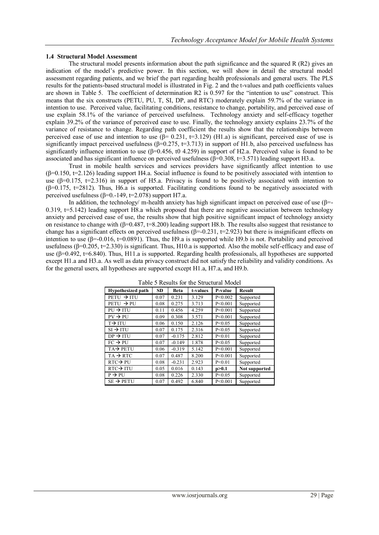## **1.4 Structural Model Assessment**

The structural model presents information about the path significance and the squared  $R(R2)$  gives an indication of the model"s predictive power. In this section, we will show in detail the structural model assessment regarding patients, and we brief the part regarding health professionals and general users. The PLS results for the patients-based structural model is illustrated in Fig. 2 and the t-values and path coefficients values are shown in Table 5. The coefficient of determination R2 is 0.597 for the "intention to use" construct. This means that the six constructs (PETU, PU, T, SI, DP, and RTC) moderately explain 59.7% of the variance in intention to use. Perceived value, facilitating conditions, resistance to change, portability, and perceived ease of use explain 58.1% of the variance of perceived usefulness. Technology anxiety and self-efficacy together explain 39.2% of the variance of perceived ease to use. Finally, the technology anxiety explains 23.7% of the variance of resistance to change. Regarding path coefficient the results show that the relationships between perceived ease of use and intention to use  $(\beta = 0.231, t=3.129)$  (H1.a) is significant, perceived ease of use is significantly impact perceived usefulness  $(\beta=0.275, \pm 3.713)$  in support of H1.b, also perceived usefulness has significantly influence intention to use  $(\beta=0.456, t0.4.259)$  in support of H2.a. Perceived value is found to be associated and has significant influence on perceived usefulness  $(6=0.308, t=3.571)$  leading support H3.a.

Trust in mobile health services and services providers have significantly affect intention to use  $(\beta=0.150, t=2.126)$  leading support H4.a. Social influence is found to be positively associated with intention to use ( $\beta$ =0.175, t=2.316) in support of H5.a. Privacy is found to be positively associated with intention to  $(\beta=0.175, t=2812)$ . Thus, H6.a is supported. Facilitating conditions found to be negatively associated with perceived usefulness ( $\beta$ =0.-149, t=2.078) support H7.a.

In addition, the technology/ m-health anxiety has high significant impact on perceived ease of use  $(\beta$ =-0.319, t=5.142) leading support H8.a which proposed that there are negative association between technology anxiety and perceived ease of use, the results show that high positive significant impact of technology anxiety on resistance to change with (β=0.487, t=8.200) leading support H8.b. The results also suggest that resistance to change has a significant effects on perceived usefulness  $(\beta = 0.231, \pm 2.923)$  but there is insignificant effects on intention to use  $(B=0.016, t=0.0891)$ . Thus, the H9.a is supported while H9.b is not. Portability and perceived usefulness (β=0.205, t=2.330) is significant. Thus, H10.a is supported. Also the mobile self-efficacy and ease of use (β=0.492, t=6.840). Thus, H11.a is supported. Regarding health professionals, all hypotheses are supported except H1.a and H3.a. As well as data privacy construct did not satisfy the reliability and validity conditions. As for the general users, all hypotheses are supported except H1.a, H7.a, and H9.b.

| <b>Hypothesized path</b> | SD.  | Beta     | t-values | P-value   | <b>Result</b>        |
|--------------------------|------|----------|----------|-----------|----------------------|
| $PETU \rightarrow ITU$   | 0.07 | 0.231    | 3.129    | P < 0.002 | Supported            |
| $PETU \rightarrow PI$    | 0.08 | 0.275    | 3.713    | P < 0.001 | Supported            |
| $P U \rightarrow IT U$   | 0.11 | 0.456    | 4.259    | P < 0.001 | Supported            |
| $PV \rightarrow PU$      | 0.09 | 0.308    | 3.571    | P < 0.001 | Supported            |
| $T\rightarrow TTU$       | 0.06 | 0.150    | 2.126    | P < 0.05  | Supported            |
| $SI \rightarrow ITU$     | 0.07 | 0.175    | 2.316    | P < 0.05  | Supported            |
| $DP \rightarrow ITU$     | 0.07 | $-0.175$ | 2.812    | P < 0.01  | Supported            |
| $FC \rightarrow PU$      | 0.07 | $-0.149$ | 1.878    | P < 0.05  | Supported            |
| $TA \rightarrow PETU$    | 0.06 | $-0.319$ | 5.142    | P < 0.001 | Supported            |
| $TA \rightarrow RTC$     | 0.07 | 0.487    | 8.200    | P < 0.001 | Supported            |
| $RTC \rightarrow PU$     | 0.08 | $-0.231$ | 2.923    | P < 0.01  | Supported            |
| $RTC \rightarrow ITU$    | 0.05 | 0.016    | 0.143    | p>0.1     | <b>Not supported</b> |
| $P \rightarrow P U$      | 0.08 | 0.226    | 2.330    | P < 0.05  | Supported            |
| $SE \rightarrow PETU$    | 0.07 | 0.492    | 6.840    | P < 0.001 | Supported            |

Table 5 Results for the Structural Model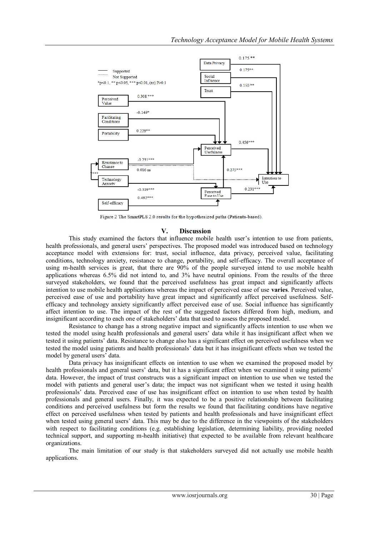

Figure 2 The SmartPLS 2.0 results for the hypothesized paths (Patients-based).

## **V. Discussion**

This study examined the factors that influence mobile health user"s intention to use from patients, health professionals, and general users" perspectives. The proposed model was introduced based on technology acceptance model with extensions for: trust, social influence, data privacy, perceived value, facilitating conditions, technology anxiety, resistance to change, portability, and self-efficacy. The overall acceptance of using m-health services is great, that there are 90% of the people surveyed intend to use mobile health applications whereas 6.5% did not intend to, and 3% have neutral opinions. From the results of the three surveyed stakeholders, we found that the perceived usefulness has great impact and significantly affects intention to use mobile health applications whereas the impact of perceived ease of use **varies**. Perceived value, perceived ease of use and portability have great impact and significantly affect perceived usefulness. Selfefficacy and technology anxiety significantly affect perceived ease of use. Social influence has significantly affect intention to use. The impact of the rest of the suggested factors differed from high, medium, and insignificant according to each one of stakeholders" data that used to assess the proposed model.

Resistance to change has a strong negative impact and significantly affects intention to use when we tested the model using health professionals and general users" data while it has insignificant affect when we tested it using patients" data. Resistance to change also has a significant effect on perceived usefulness when we tested the model using patients and health professionals" data but it has insignificant effects when we tested the model by general users' data.

Data privacy has insignificant effects on intention to use when we examined the proposed model by health professionals and general users' data, but it has a significant effect when we examined it using patients' data. However, the impact of trust constructs was a significant impact on intention to use when we tested the model with patients and general user's data; the impact was not significant when we tested it using health professionals" data. Perceived ease of use has insignificant effect on intention to use when tested by health professionals and general users. Finally, it was expected to be a positive relationship between facilitating conditions and perceived usefulness but form the results we found that facilitating conditions have negative effect on perceived usefulness when tested by patients and health professionals and have insignificant effect when tested using general users' data. This may be due to the difference in the viewpoints of the stakeholders with respect to facilitating conditions (e.g. establishing legislation, determining liability, providing needed technical support, and supporting m-health initiative) that expected to be available from relevant healthcare organizations.

The main limitation of our study is that stakeholders surveyed did not actually use mobile health applications.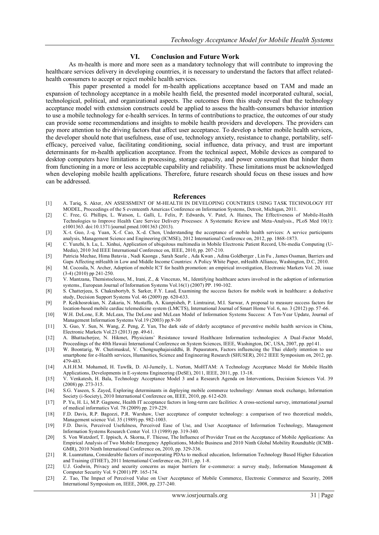#### **VI. Conclusion and Future Work**

As m-health is more and more seen as a mandatory technology that will contribute to improving the healthcare services delivery in developing countries, it is necessary to understand the factors that affect relatedhealth consumers to accept or reject mobile health services.

This paper presented a model for m-health applications acceptance based on TAM and made an expansion of technology acceptance in a mobile health field, the presented model incorporated cultural, social, technological, political, and organizational aspects. The outcomes from this study reveal that the technology acceptance model with extension constructs could be applied to assess the health-consumers behavior intention to use a mobile technology for e-health services. In terms of contributions to practice, the outcomes of our study can provide some recommendations and insights to mobile health providers and developers. The providers can pay more attention to the driving factors that affect user acceptance. To develop a better mobile health services, the developer should note that usefulness, ease of use, technology anxiety, resistance to change, portability, selfefficacy, perceived value, facilitating conditioning, social influence, data privacy, and trust are important determinants for m-health application acceptance. From the technical aspect, Mobile devices as compared to desktop computers have limitations in processing, storage capacity, and power consumption that hinder them from functioning in a more or less acceptable capability and reliability. These limitations must be acknowledged when developing mobile health applications. Therefore, future research should focus on these issues and how can be addressed.

#### **References**

- <span id="page-10-0"></span>[1] A. Tariq, S. Akter, AN ASSESSMENT OF M-HEALTH IN DEVELOPING COUNTRIES USING TASK TECHNOLOGY FIT MODEL, Proceedings of the S eventeenth Americas Conference on Information Systems, Detroit, Michigan, 2011.
- <span id="page-10-1"></span>[2] C. Free, G. Phillips, L. Watson, L. Galli, L. Felix, P. Edwards, V. Patel, A. Haines, The Effectiveness of Mobile-Health Technologies to Improve Health Care Service Delivery Processes: A Systematic Review and Meta-Analysis., PLoS Med 10(1): e1001363. doi:10.1371/journal.pmed.1001363 (2013).
- <span id="page-10-2"></span>[3] X.-t. Guo, J.-q. Yuan, X.-f. Cao, X.-d. Chen, Understanding the acceptance of mobile health services: A service participants analysis, Management Science and Engineering (ICMSE), 2012 International Conference on, 2012, pp. 1868-1873.
- <span id="page-10-3"></span>[4] C. Yunzhi, h. Lu, L. Xinhui, Application of ubiquitous multimedia in Mobile Electronic Patient Record, Ubi-media Computing (U-Media), 2010 3rd IEEE International Conference on, IEEE, 2010, pp. 207-210.
- <span id="page-10-4"></span>[5] Patricia Mechae, Hima Batavia , Nadi Kaonga , Sarah Searle , Ada Kwan , Adina Goldberger , Lin Fu , James Ossman, Barriers and Gaps Affecting mHealth in Low and Middle Income Countries: A Policy White Paper, mHealth Alliance, Washington, D.C, 2010.
- <span id="page-10-5"></span>[6] M. Cocosila, N. Archer, Adoption of mobile ICT for health promotion: an empirical investigation, Electronic Markets Vol. 20, issue (3-4) (2010) pp 241-250.
- <span id="page-10-6"></span>[7] V. Mantzana, Themistocleous, M., Irani, Z., & Vincenzo, M., Identifying healthcare actors involved in the adoption of information systems., European Journal of Information Systems Vol.16(1) (2007) PP. 190-102.
- <span id="page-10-7"></span>[8] S. Chatterjeea, S. Chakrabortyb, S. Sarker, F.Y. Laud, Examining the success factors for mobile work in healthcare: a deductive study, Decision Support Systems Vol. 46 (2009) pp. 620-633.
- <span id="page-10-8"></span>[9] P. Keikhosrokian, N. Zakaria, N. Mustaffa, A. Kianpisheh, P. Limtrairut, M.I. Sarwar, A proposal to measure success factors for location-based mobile cardiac telemedicine system (LMCTS), International Journal of Smart Home Vol. 6, no. 3 (2012) pp. 57-66.
- <span id="page-10-9"></span>[10] W.H. DeLone, E.R. McLean, The DeLone and McLean Model of Information Systems Success: A Ten-Year Update, Journal of Management Information Systems Vol.19 (2003) pp.9-30
- <span id="page-10-10"></span>[11] X. Guo, Y. Sun, N. Wang, Z. Peng, Z. Yan, The dark side of elderly acceptance of preventive mobile health services in China, Electronic Markets Vol.23 (2013) pp. 49-61.
- <span id="page-10-11"></span>[12] A. Bhattacherjee, N. Hikmet, Physicians" Resistance toward Healthcare Information technologies: A Dual-Factor Model, Proceedings of the 40th Hawaii International Conference on System Sciences, IEEE, Washington, DC, USA, 2007, pp. pp141.
- <span id="page-10-12"></span>[13] W. Boontarig, W. Chutimaskul, V. Chongsuphajaisiddhi, B. Papasratorn, Factors influencing the Thai elderly intention to use smartphone for e-Health services, Humanities, Science and Engineering Research (SHUSER), 2012 IEEE Symposium on, 2012, pp. 479-483.
- <span id="page-10-13"></span>[14] A.H.H.M. Mohamed, H. Tawfik, D. Al-Jumeily, L. Norton, MoHTAM: A Technology Acceptance Model for Mobile Health Applications, Developments in E-systems Engineering (DeSE), 2011, IEEE, 2011, pp. 13-18.
- <span id="page-10-14"></span>[15] V. Venkatesh, H. Bala, Technology Acceptance Model 3 and a Research Agenda on Interventions, Decision Sciences Vol. 39 (2008) pp. 273-315.
- <span id="page-10-15"></span>[16] S.G. Yaseen, S. Zayed, Exploring determinants in deploying mobile commerce technology: Amman stock exchange, Information Society (i-Society), 2010 International Conference on, IEEE, 2010, pp. 612-620.
- <span id="page-10-16"></span>[17] P. Yu, H. Li, M.P. Gagnonc, Health IT acceptance factors in long-term care facilities: A cross-sectional survey, international journal of medical informatics Vol. 78 (2009) pp. 219-229.
- <span id="page-10-17"></span>[18] F.D. Davis, R.P. Bagozzi, P.R. Warshaw, User acceptance of computer technology: a comparison of two theoretical models, Management science Vol. 35 (1989) pp. 982-1003.
- <span id="page-10-18"></span>[19] F.D. Davis, Perceived Usefulness, Perceived Ease of Use, and User Acceptance of Information Technology, Management Information Systems Research Center Vol. 13 (1989) pp. 319-340.
- <span id="page-10-19"></span>[20] S. Von Watzdorf, T. Ippisch, A. Skorna, F. Thiesse, The Influence of Provider Trust on the Acceptance of Mobile Applications: An Empirical Analysis of Two Mobile Emergency Applications, Mobile Business and 2010 Ninth Global Mobility Roundtable (ICMB-GMR), 2010 Ninth International Conference on, 2010, pp. 329-336.
- <span id="page-10-20"></span>[21] R. Luanrattana, Considerable factors of incorporating PDAs to medical education, Information Technology Based Higher Education and Training (ITHET), 2011 International Conference on, 2011, pp. 1-8.
- <span id="page-10-21"></span>[22] U.J. Godwin, Privacy and security concerns as major barriers for e-commerce: a survey study, Information Management & Computer Security Vol. 9 (2001) PP. 165-174.
- <span id="page-10-22"></span>[23] Z. Tao, The Impact of Perceived Value on User Acceptance of Mobile Commerce, Electronic Commerce and Security, 2008 International Symposium on, IEEE, 2008, pp. 237-240.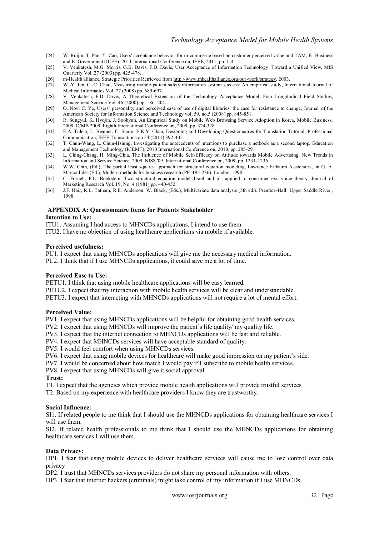- <span id="page-11-0"></span>[24] W. Ruijin, T. Pan, Y. Cao, Users' acceptance behavior for m-commerce based on customer perceived value and TAM, E -Business and E -Government (ICEE), 2011 International Conference on, IEEE, 2011, pp. 1-4.
- <span id="page-11-1"></span>[25] V. Venkatesh, M.G. Morris, G.B. Davis, F.D. Davis, User Acceptance of Information Technology: Toward a Unified View, MIS Quarterly Vol. 27 (2003) pp. 425-478.
- <span id="page-11-2"></span>[26] m-Health alliance, Strategic Priorities Retrieved fro[m http://www.mhealthalliance.org/our-work/strategy,](http://www.mhealthalliance.org/our-work/strategy) 2003.
- <span id="page-11-3"></span>[27] W.-Y. Jen, C.-C. Chao, Measuring mobile patient safety information system success: An empirical study, International Journal of Medical Informatics Vol. 77 (2008) pp. 689-697.
- <span id="page-11-4"></span>[28] V. Venkatesh, F.D. Davis, A Theoretical Extension of the Technology Acceptance Model: Four Longitudinal Field Studies, Management Science Vol. 46 (2000) pp. 186–204.
- <span id="page-11-5"></span>[29] O. Nov, C. Ye, Users' personality and perceived ease of use of digital libraries: the case for resistance to change, Journal of the American Society for Information Science and Technology vol. 59, no.5 (2008) pp. 845-851.
- <span id="page-11-6"></span>[30] R. Sungyul, K. Hyojin, J. Soohyun, An Empirical Study on Mobile Web Browsing Service Adoption in Korea, Mobile Business, 2009. ICMB 2009. Eighth International Conference on, 2009, pp. 324-328.
- <span id="page-11-7"></span>[31] E.A. Tuleja, L. Beamer, C. Shum, E.K.Y. Chan, Designing and Developing Questionnaires for Translation Tutorial, Professional Communication, IEEE Transactions on 54 (2011) 392-405.
- <span id="page-11-8"></span>[32] T. Chun-Wang, L. Chun-Hsiung, Investigating the antecedents of intentions to purchase a netbook as a second laptop, Education and Management Technology (ICEMT), 2010 International Conference on, 2010, pp. 285-291.
- <span id="page-11-9"></span>[33] L. Ching-Chang, H. Ming-Chia, The Influence of Mobile Self-Efficacy on Attitude towards Mobile Advertising, New Trends in Information and Service Science, 2009. NISS '09. International Conference on, 2009, pp. 1231-1236.
- <span id="page-11-10"></span>[34] W.W. Chin, (Ed.), The partial least squares approach for structural equation modeling, Lawrence Erlbaum Associates., in G. A. Marcoulides (Ed.), Modern methods for business research (PP. 195-236). London, 1998.
- <span id="page-11-11"></span>[35] C. Fornell, F.L. Bookstein, Two structural equation models:lisrel and pls applied to consumer exit-voice theory, Journal of Marketing Research Vol. 19, No. 4 (1981) pp. 440-452.
- <span id="page-11-12"></span>[36] J.F. Hair, R.L. Tatham, R.E. Anderson, W. Black, (Eds.), Multivariate data analysis (5th ed.). Prentice-Hall: Upper Saddle River., 1998.

#### **APPENDIX A: Questionnaire Items for Patients Stakeholder Intention to Use:**

- ITU1. Assuming I had access to MHNCDs applications, I intend to use them.
- ITU2. I have no objection of using healthcare applications via mobile if available.

#### **Perceived usefulness:**

PU1. I expect that using MHNCDs applications will give me the necessary medical information.

PU2. I think that if I use MHNCDs applications, it could save me a lot of time.

#### **Perceived Ease to Use:**

PETU1. I think that using mobile healthcare applications will be easy learned.

PETU2. I expect that my interaction with mobile health services will be clear and understandable.

PETU3. I expect that interacting with MHNCDs applications will not require a lot of mental effort.

#### **Perceived Value:**

PV1. I expect that using MHNCDs applications will be helpful for obtaining good health services.

PV2. I expect that using MHNCDs will improve the patient's life quality/ my quality life.

PV3. I expect that the internet connection to MHNCDs applications will be fast and reliable.

PV4. I expect that MHNCDs services will have acceptable standard of quality.

PV5. I would feel comfort when using MHNCDs services.

PV6. I expect that using mobile devices for healthcare will make good impression on my patient"s side.

PV7. I would be concerned about how match I would pay if I subscribe to mobile health services.

PV8. I expect that using MHNCDs will give it social approval.

#### **Trust:**

T1. I expect that the agencies which provide mobile health applications will provide trustful services

T2. Based on my experience with healthcare providers I know they are trustworthy.

#### **Social Influence:**

SI1. If related people to me think that I should use the MHNCDs applications for obtaining healthcare services I will use them.

SI2. If related health professionals to me think that I should use the MHNCDs applications for obtaining healthcare services I will use them.

#### **Data Privacy:**

DP1. I fear that using mobile devices to deliver healthcare services will cause me to lose control over data privacy

DP2. I trust that MHNCDs services providers do not share my personal information with others.

DP3. I fear that internet hackers (criminals) might take control of my information if I use MHNCDs